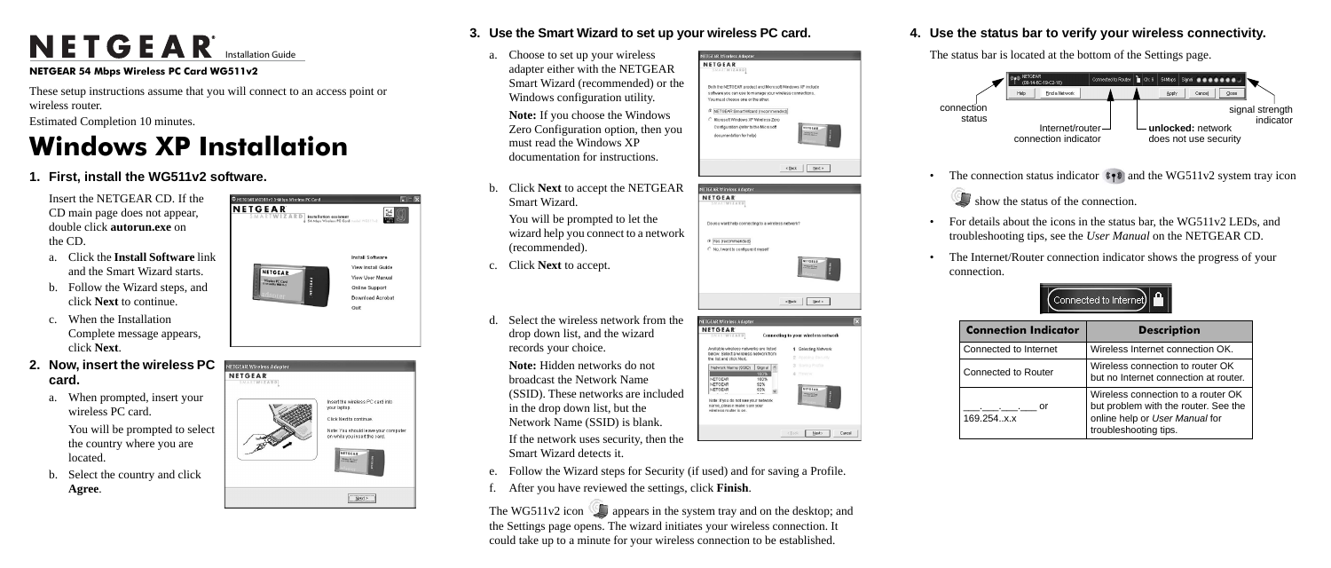# NETGEAR<sup>®</sup> Installation Guide

#### **NETGEAR 54 Mbps Wireless PC Card WG511v2**

These setup instructions assume that you will connect to an access point or wireless router.

Estimated Completion 10 minutes.

## **Windows XP Installation**

#### **1. First, install the WG511v2 software.**

Insert the NETGEAR CD. If the CD main page does not appear, double click **autorun.exe** on the CD.

- a. Click the **Install Software** link and the Smart Wizard starts.
- b. Follow the Wizard steps, and click **Next** to continue.
- c. When the Installation Complete message appears, click **Next**.
- **2. Now, insert the wireless PC card.** 
	- a. When prompted, insert your wireless PC card.

You will be prompted to select the country where you are located.

b. Select the country and click **Agree**.





### **3. Use the Smart Wizard to set up your wireless PC card.**

a. Choose to set up your wireless adapter either with the NETGEAR Smart Wizard (recommended) or the Windows configuration utility.

The WG511v2 icon appears in the system tray and on the desktop; and the Settings page opens. The wizard initiates your wireless connection. It could take up to a minute for your wireless connection to be established.

#### **NETGEAR Wireless A NETGEAR** Both the NETOEAR product and Microsoft Windows XP include oftware you can use to manage your wireless connections. ou must choose one or the other F NETGEAR Smart Wizard (recommended) Microsoft Windows XP Wireless Zero Configuration (refer to the Microsoft **NITGEAR** documentation for help)  $\leq$  Bock  $\qquad$  Mext  $\geq$







|                                                                   | NETOEAR<br><b>EXPOSURE</b><br><b>Midles AT Card</b> |
|-------------------------------------------------------------------|-----------------------------------------------------|
|                                                                   | $<$ Back<br>Next >                                  |
| <b>NETGEAR Wireless Adapter</b>                                   | ×                                                   |
| <b>NETGEAR</b><br><b>SMARTWIZARD</b>                              | Connecting to your wireless network                 |
| Available wireless networks are listed                            | Selecting Network<br>1                              |
| below. Select a wireless network from<br>the list and click Next. | Applying Security<br>2                              |
| Network Name (SSID)<br>Signal                                     | Saving Profile<br>3                                 |
| 100%                                                              | Review<br>а                                         |
| NETOEAR<br>100%                                                   |                                                     |
| NETOEAR<br>92%<br>NETGEAR<br>92%                                  | <b>NETGEAR</b>                                      |
|                                                                   | E<br>Mintage PC Card                                |

| <b>NETGEAR</b><br><b>SMARTWIZARD</b>                                                          |          |   | <b>Connecting to your wireless network</b> |  |
|-----------------------------------------------------------------------------------------------|----------|---|--------------------------------------------|--|
| Available wireless networks are listed                                                        |          | 1 | Selecting Network                          |  |
| below. Select a wireless network from<br>the list and click Next.                             |          |   | 2 Applying Security                        |  |
| Network Name (SSID)                                                                           | Signal   |   | 3 Saving Profile                           |  |
|                                                                                               | 100%     |   | Review                                     |  |
| NETOEAR                                                                                       | 100%     |   |                                            |  |
| NETOEAR                                                                                       | 92%      |   |                                            |  |
| NETGEAR                                                                                       | 92%<br>. |   | <b>NETGEAR</b><br>Ministra PC Card         |  |
| Note: If you do not see your network<br>name, please make sure your<br>wireless router is on. |          |   | <b>TERRITE</b>                             |  |
|                                                                                               |          |   |                                            |  |

**Note:** If you choose the Windows Zero Configuration option, then you must read the Windows XP documentation for instructions.

b. Click **Next** to accept the NETGEAR Smart Wizard.

> • For details about the icons in the status bar, the WG511v2 LEDs, and troubleshooting tips, see the *User Manual* on the NETGEAR CD.

You will be prompted to let the wizard help you connect to a network (recommended).

- 
- connection.
	-
	- 169.

- c. Click **Next** to accept.
- d. Select the wireless network from the drop down list, and the wizard records your choice.

**Note:** Hidden networks do not broadcast the Network Name (SSID). These networks are included in the drop down list, but the Network Name (SSID) is blank.

If the network uses security, then the Smart Wizard detects it.

- e. Follow the Wizard steps for Security (if used) and for saving a Profile.
- f. After you have reviewed the settings, click **Finish**.

#### **4. Use the status bar to verify your wireless connectivity.**

The status bar is located at the bottom of the Settings page.

• The Internet/Router connection indicator shows the progress of your



| <b>Connection Indicator</b> | <b>Description</b>                                                                                                                    |
|-----------------------------|---------------------------------------------------------------------------------------------------------------------------------------|
| Connected to Internet       | Wireless Internet connection OK.                                                                                                      |
| Connected to Router         | Wireless connection to router OK<br>but no Internet connection at router.                                                             |
| or<br>169.254x.x            | Wireless connection to a router OK<br>but problem with the router. See the<br>online help or User Manual for<br>troubleshooting tips. |

connection status





The connection status indicator  $\sqrt[8]{\cdot}$  and the WG511v2 system tray icon

show the status of the connection.